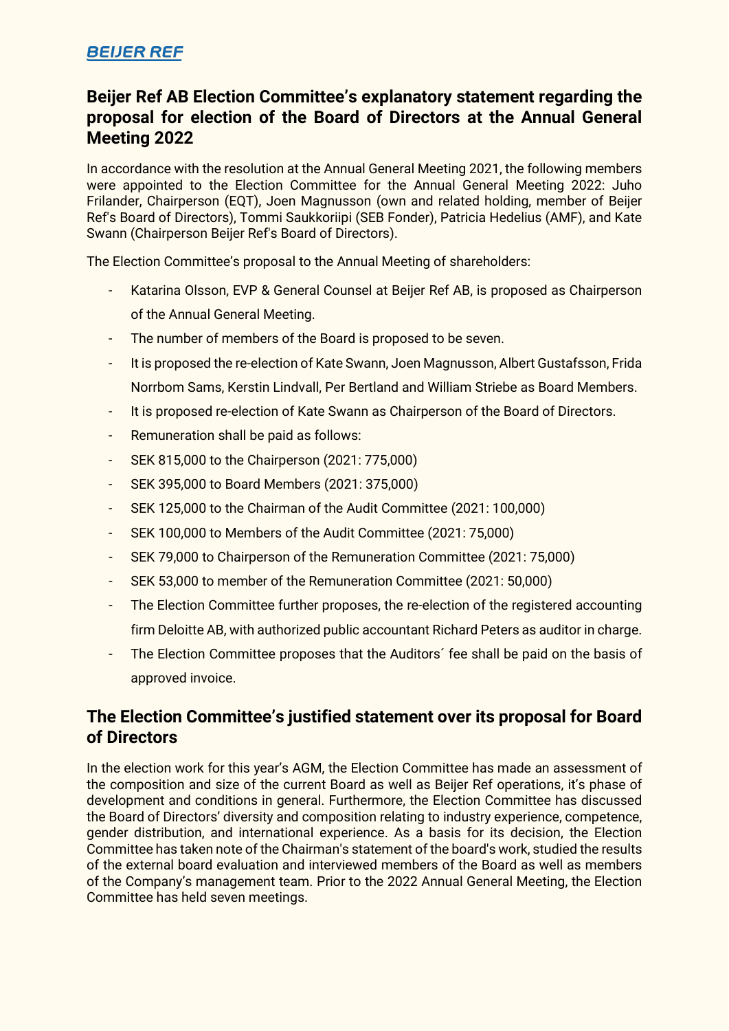## **BEIJER REF**

## **Beijer Ref AB Election Committee's explanatory statement regarding the proposal for election of the Board of Directors at the Annual General Meeting 2022**

In accordance with the resolution at the Annual General Meeting 2021, the following members were appointed to the Election Committee for the Annual General Meeting 2022: Juho Frilander, Chairperson (EQT), Joen Magnusson (own and related holding, member of Beijer Ref's Board of Directors), Tommi Saukkoriipi (SEB Fonder), Patricia Hedelius (AMF), and Kate Swann (Chairperson Beijer Ref's Board of Directors).

The Election Committee's proposal to the Annual Meeting of shareholders:

- Katarina Olsson, EVP & General Counsel at Beijer Ref AB, is proposed as Chairperson of the Annual General Meeting.
- The number of members of the Board is proposed to be seven.
- It is proposed the re-election of Kate Swann, Joen Magnusson, Albert Gustafsson, Frida Norrbom Sams, Kerstin Lindvall, Per Bertland and William Striebe as Board Members.
- It is proposed re-election of Kate Swann as Chairperson of the Board of Directors.
- Remuneration shall be paid as follows:
- SEK 815,000 to the Chairperson (2021: 775,000)
- SEK 395,000 to Board Members (2021: 375,000)
- SEK 125,000 to the Chairman of the Audit Committee (2021: 100,000)
- SEK 100,000 to Members of the Audit Committee (2021: 75,000)
- SEK 79,000 to Chairperson of the Remuneration Committee (2021: 75,000)
- SEK 53,000 to member of the Remuneration Committee (2021: 50,000)
- The Election Committee further proposes, the re-election of the registered accounting firm Deloitte AB, with authorized public accountant Richard Peters as auditor in charge.
- The Election Committee proposes that the Auditors´ fee shall be paid on the basis of approved invoice.

## **The Election Committee's justified statement over its proposal for Board of Directors**

In the election work for this year's AGM, the Election Committee has made an assessment of the composition and size of the current Board as well as Beijer Ref operations, it's phase of development and conditions in general. Furthermore, the Election Committee has discussed the Board of Directors' diversity and composition relating to industry experience, competence, gender distribution, and international experience. As a basis for its decision, the Election Committee has taken note of the Chairman's statement of the board's work, studied the results of the external board evaluation and interviewed members of the Board as well as members of the Company's management team. Prior to the 2022 Annual General Meeting, the Election Committee has held seven meetings.